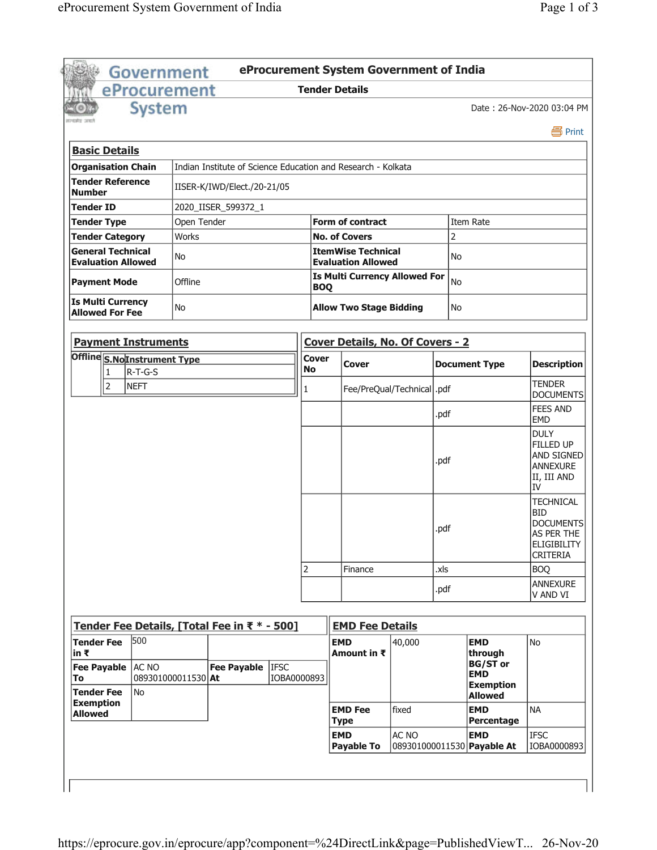|                                                                         | Government                  |             |                                                    |                                                        |                           | eProcurement System Government of India                      |        |                |                                |                                                                                                    |  |
|-------------------------------------------------------------------------|-----------------------------|-------------|----------------------------------------------------|--------------------------------------------------------|---------------------------|--------------------------------------------------------------|--------|----------------|--------------------------------|----------------------------------------------------------------------------------------------------|--|
|                                                                         | eProcurement                |             |                                                    |                                                        |                           | <b>Tender Details</b>                                        |        |                |                                |                                                                                                    |  |
|                                                                         | <b>System</b>               |             |                                                    |                                                        |                           |                                                              |        |                |                                | Date: 26-Nov-2020 03:04 PM                                                                         |  |
|                                                                         |                             |             |                                                    |                                                        |                           |                                                              |        |                |                                | 昌 Print                                                                                            |  |
| <b>Basic Details</b>                                                    |                             |             |                                                    |                                                        |                           |                                                              |        |                |                                |                                                                                                    |  |
| <b>Organisation Chain</b>                                               |                             |             |                                                    |                                                        |                           | Indian Institute of Science Education and Research - Kolkata |        |                |                                |                                                                                                    |  |
| <b>Tender Reference</b><br>IISER-K/IWD/Elect./20-21/05<br><b>Number</b> |                             |             |                                                    |                                                        |                           |                                                              |        |                |                                |                                                                                                    |  |
| Tender ID                                                               |                             |             | 2020_IISER_599372_1                                |                                                        |                           |                                                              |        |                |                                |                                                                                                    |  |
| <b>Tender Type</b>                                                      |                             | Open Tender |                                                    |                                                        | <b>Form of contract</b>   |                                                              |        |                |                                |                                                                                                    |  |
| <b>Tender Category</b>                                                  |                             | Works       |                                                    |                                                        |                           | <b>No. of Covers</b>                                         |        | Item Rate<br>2 |                                |                                                                                                    |  |
| <b>General Technical</b><br>No<br><b>Evaluation Allowed</b>             |                             |             |                                                    | <b>ItemWise Technical</b><br><b>Evaluation Allowed</b> |                           |                                                              | No     |                |                                |                                                                                                    |  |
| Offline<br><b>Payment Mode</b>                                          |                             |             | <b>Is Multi Currency Allowed For</b><br><b>BOQ</b> |                                                        |                           | No                                                           |        |                |                                |                                                                                                    |  |
| <b>Is Multi Currency</b><br>No<br><b>Allowed For Fee</b>                |                             |             |                                                    | <b>Allow Two Stage Bidding</b>                         |                           |                                                              |        |                |                                |                                                                                                    |  |
|                                                                         |                             |             |                                                    |                                                        |                           | Cover Details, No. Of Covers - 2                             |        |                |                                |                                                                                                    |  |
| <b>Payment Instruments</b>                                              |                             |             |                                                    |                                                        |                           |                                                              |        |                |                                |                                                                                                    |  |
| Offline S.No Instrument Type                                            |                             |             |                                                    |                                                        | <b>Cover</b><br><b>No</b> | <b>Cover</b>                                                 |        |                | <b>Document Type</b>           | <b>Description</b>                                                                                 |  |
| $\overline{2}$                                                          | R-T-G-S<br>1<br><b>NEFT</b> |             |                                                    |                                                        | 1                         | Fee/PreQual/Technical   .pdf                                 |        |                |                                | <b>TENDER</b><br><b>DOCUMENTS</b>                                                                  |  |
|                                                                         |                             |             |                                                    |                                                        |                           |                                                              |        | .pdf           |                                | <b>FEES AND</b>                                                                                    |  |
|                                                                         |                             |             |                                                    |                                                        |                           |                                                              |        |                |                                | <b>EMD</b><br><b>DULY</b>                                                                          |  |
|                                                                         |                             |             |                                                    |                                                        |                           |                                                              |        | .pdf           |                                | FILLED UP<br>AND SIGNED<br>ANNEXURE<br>II, III AND<br>IV                                           |  |
|                                                                         |                             |             |                                                    |                                                        |                           |                                                              |        | .pdf           |                                | <b>TECHNICAL</b><br><b>BID</b><br><b>DOCUMENTS</b><br>AS PER THE<br>ELIGIBILITY<br><b>CRITERIA</b> |  |
|                                                                         |                             |             |                                                    |                                                        | $\overline{2}$            | Finance                                                      |        | .xls           |                                | <b>BOQ</b>                                                                                         |  |
|                                                                         |                             |             |                                                    |                                                        |                           |                                                              |        | .pdf           |                                | ANNEXURE<br>V AND VI                                                                               |  |
| Tender Fee Details, [Total Fee in ₹ * - 500]                            |                             |             |                                                    |                                                        |                           | <b>EMD Fee Details</b>                                       |        |                |                                |                                                                                                    |  |
| <b>Tender Fee</b>                                                       | 500                         |             |                                                    |                                                        |                           | <b>EMD</b>                                                   | 40,000 |                | <b>EMD</b>                     | <b>No</b>                                                                                          |  |
| in ₹<br><b>Fee Payable</b>                                              | AC NO                       |             | <b>Fee Payable</b>                                 | <b>IFSC</b>                                            |                           | Amount in ₹                                                  |        |                | through<br><b>BG/ST</b> or     |                                                                                                    |  |
| To<br><b>Tender Fee</b>                                                 | 089301000011530 At<br>No    |             |                                                    | IOBA0000893                                            |                           |                                                              |        |                | <b>EMD</b><br><b>Exemption</b> |                                                                                                    |  |
| <b>Exemption</b>                                                        |                             |             |                                                    |                                                        |                           | <b>EMD Fee</b>                                               | fixed  |                | <b>Allowed</b><br><b>EMD</b>   | <b>NA</b>                                                                                          |  |
| <b>Allowed</b>                                                          |                             |             |                                                    |                                                        |                           | <b>Type</b>                                                  | AC NO  |                | Percentage                     |                                                                                                    |  |
|                                                                         |                             |             |                                                    |                                                        |                           | <b>EMD</b>                                                   |        |                | <b>EMD</b>                     | <b>IFSC</b>                                                                                        |  |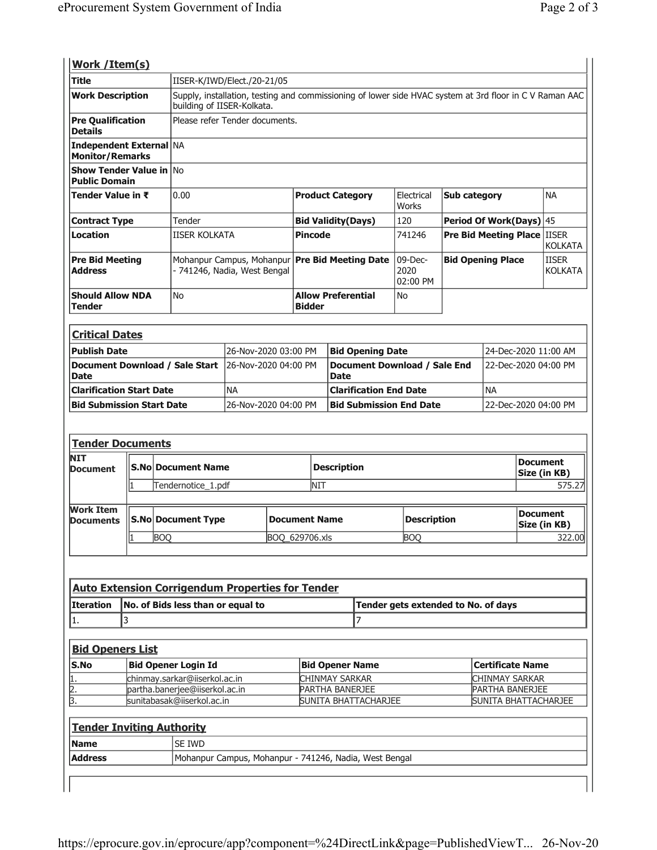| Work / Item(s)                                         |                                                                          |                                                                         |                                                                                                                                       |                |                                            |                                                        |                                     |                                    |                                   |                                |  |
|--------------------------------------------------------|--------------------------------------------------------------------------|-------------------------------------------------------------------------|---------------------------------------------------------------------------------------------------------------------------------------|----------------|--------------------------------------------|--------------------------------------------------------|-------------------------------------|------------------------------------|-----------------------------------|--------------------------------|--|
| <b>Title</b>                                           |                                                                          |                                                                         | IISER-K/IWD/Elect./20-21/05                                                                                                           |                |                                            |                                                        |                                     |                                    |                                   |                                |  |
| <b>Work Description</b>                                |                                                                          |                                                                         | Supply, installation, testing and commissioning of lower side HVAC system at 3rd floor in C V Raman AAC<br>building of IISER-Kolkata. |                |                                            |                                                        |                                     |                                    |                                   |                                |  |
| <b>Pre Qualification</b><br><b>Details</b>             |                                                                          |                                                                         | Please refer Tender documents.                                                                                                        |                |                                            |                                                        |                                     |                                    |                                   |                                |  |
| Independent External NA<br><b>Monitor/Remarks</b>      |                                                                          |                                                                         |                                                                                                                                       |                |                                            |                                                        |                                     |                                    |                                   |                                |  |
| <b>Show Tender Value in No</b><br><b>Public Domain</b> |                                                                          |                                                                         |                                                                                                                                       |                |                                            |                                                        |                                     |                                    |                                   |                                |  |
|                                                        | Tender Value in ₹<br>0.00                                                |                                                                         |                                                                                                                                       |                | <b>Product Category</b>                    |                                                        | Electrical<br>Works                 | Sub category                       |                                   | <b>NA</b>                      |  |
|                                                        | Tender<br><b>Contract Type</b>                                           |                                                                         |                                                                                                                                       |                | <b>Bid Validity(Days)</b>                  |                                                        | 120                                 | Period Of Work(Days) 45            |                                   |                                |  |
| <b>Location</b>                                        | <b>IISER KOLKATA</b>                                                     |                                                                         |                                                                                                                                       | <b>Pincode</b> |                                            |                                                        | 741246                              | <b>Pre Bid Meeting Place IISER</b> |                                   | <b>KOLKATA</b>                 |  |
| <b>Pre Bid Meeting</b><br><b>Address</b>               |                                                                          |                                                                         | Mohanpur Campus, Mohanpur<br>- 741246, Nadia, West Bengal                                                                             |                |                                            | <b>Pre Bid Meeting Date</b>                            | $09$ -Dec-<br>2020<br>02:00 PM      | <b>Bid Opening Place</b>           |                                   | <b>IISER</b><br><b>KOLKATA</b> |  |
| Tender                                                 | <b>Should Allow NDA</b><br>No                                            |                                                                         |                                                                                                                                       |                | <b>Allow Preferential</b><br><b>Bidder</b> |                                                        | No                                  |                                    |                                   |                                |  |
|                                                        |                                                                          |                                                                         |                                                                                                                                       |                |                                            |                                                        |                                     |                                    |                                   |                                |  |
| <b>Critical Dates</b>                                  |                                                                          |                                                                         |                                                                                                                                       |                |                                            |                                                        |                                     |                                    |                                   |                                |  |
| <b>Publish Date</b>                                    |                                                                          |                                                                         | 26-Nov-2020 03:00 PM                                                                                                                  |                | <b>Bid Opening Date</b>                    |                                                        |                                     |                                    | 24-Dec-2020 11:00 AM              |                                |  |
| Document Download / Sale Start<br><b>Date</b>          |                                                                          |                                                                         | l26-Nov-2020 04:00 PM                                                                                                                 |                | <b>Date</b>                                |                                                        | <b>Document Download / Sale End</b> |                                    | 22-Dec-2020 04:00 PM              |                                |  |
| <b>Clarification Start Date</b>                        |                                                                          |                                                                         | <b>NA</b>                                                                                                                             |                |                                            | <b>Clarification End Date</b>                          |                                     |                                    | <b>NA</b>                         |                                |  |
| <b>Bid Submission Start Date</b>                       |                                                                          |                                                                         | 26-Nov-2020 04:00 PM                                                                                                                  |                |                                            | <b>Bid Submission End Date</b>                         |                                     |                                    | 22-Dec-2020 04:00 PM              |                                |  |
| <b>Tender Documents</b><br><b>NIT</b>                  |                                                                          |                                                                         |                                                                                                                                       |                |                                            |                                                        |                                     |                                    |                                   |                                |  |
| Document                                               |                                                                          | <b>S.No Document Name</b>                                               |                                                                                                                                       |                | <b>Description</b>                         |                                                        | <b>Document</b><br>Size (in KB)     |                                    |                                   |                                |  |
|                                                        |                                                                          | Tendernotice_1.pdf                                                      |                                                                                                                                       |                | <b>NIT</b>                                 |                                                        |                                     |                                    |                                   | 575.27                         |  |
| <b>Work Item</b><br><b>Documents</b>                   |                                                                          | <b>S.No Document Type</b><br><b>Description</b><br><b>Document Name</b> |                                                                                                                                       |                |                                            |                                                        |                                     |                                    | <b>Document</b><br>Size (in KB)   |                                |  |
| <b>BOQ</b><br>I1                                       |                                                                          |                                                                         | BOQ_629706.xls                                                                                                                        |                |                                            |                                                        | <b>BOQ</b>                          |                                    |                                   | 322.00                         |  |
|                                                        |                                                                          |                                                                         |                                                                                                                                       |                |                                            |                                                        |                                     |                                    |                                   |                                |  |
|                                                        |                                                                          |                                                                         |                                                                                                                                       |                |                                            |                                                        |                                     |                                    |                                   |                                |  |
|                                                        |                                                                          | <b>Auto Extension Corrigendum Properties for Tender</b>                 |                                                                                                                                       |                |                                            |                                                        |                                     |                                    |                                   |                                |  |
| Iteration                                              | No. of Bids less than or equal to<br>Tender gets extended to No. of days |                                                                         |                                                                                                                                       |                |                                            |                                                        |                                     |                                    |                                   |                                |  |
| 3<br>1.                                                |                                                                          |                                                                         |                                                                                                                                       |                | 7                                          |                                                        |                                     |                                    |                                   |                                |  |
|                                                        |                                                                          |                                                                         |                                                                                                                                       |                |                                            |                                                        |                                     |                                    |                                   |                                |  |
| <b>Bid Openers List</b>                                |                                                                          |                                                                         |                                                                                                                                       |                |                                            |                                                        |                                     |                                    |                                   |                                |  |
| S.No                                                   |                                                                          | <b>Bid Opener Login Id</b>                                              |                                                                                                                                       |                | <b>Bid Opener Name</b>                     |                                                        |                                     |                                    | <b>Certificate Name</b>           |                                |  |
| $\mathbf{1}$                                           |                                                                          | chinmay.sarkar@iiserkol.ac.in<br>partha.banerjee@iiserkol.ac.in         |                                                                                                                                       |                | CHINMAY SARKAR<br>PARTHA BANERJEE          |                                                        |                                     |                                    | CHINMAY SARKAR<br>PARTHA BANERJEE |                                |  |
| $\frac{2}{3}$                                          |                                                                          | sunitabasak@iiserkol.ac.in                                              |                                                                                                                                       |                |                                            | SUNITA BHATTACHARJEE                                   | SUNITA BHATTACHARJEE                |                                    |                                   |                                |  |
|                                                        |                                                                          |                                                                         |                                                                                                                                       |                |                                            |                                                        |                                     |                                    |                                   |                                |  |
| <b>Tender Inviting Authority</b>                       |                                                                          |                                                                         |                                                                                                                                       |                |                                            |                                                        |                                     |                                    |                                   |                                |  |
| <b>Name</b>                                            |                                                                          | SE IWD                                                                  |                                                                                                                                       |                |                                            |                                                        |                                     |                                    |                                   |                                |  |
| <b>Address</b>                                         |                                                                          |                                                                         |                                                                                                                                       |                |                                            | Mohanpur Campus, Mohanpur - 741246, Nadia, West Bengal |                                     |                                    |                                   |                                |  |
|                                                        |                                                                          |                                                                         |                                                                                                                                       |                |                                            |                                                        |                                     |                                    |                                   |                                |  |